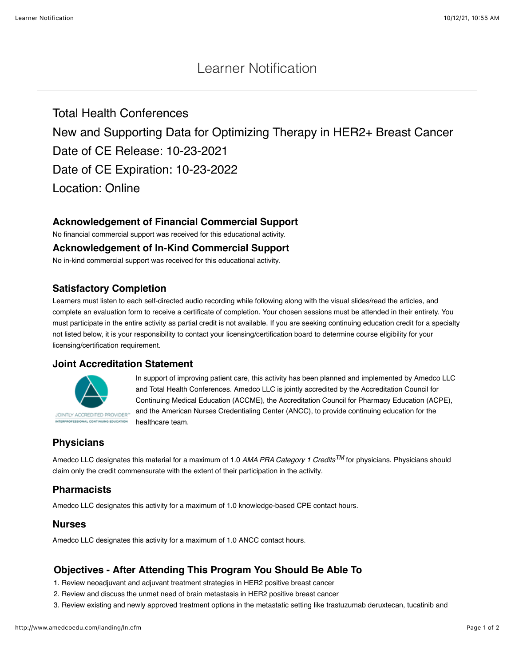# Learner Notification

Total Health Conferences New and Supporting Data for Optimizing Therapy in HER2+ Breast Cancer Date of CE Release: 10-23-2021 Date of CE Expiration: 10-23-2022 Location: Online

# **Acknowledgement of Financial Commercial Support**

No financial commercial support was received for this educational activity.

#### **Acknowledgement of In-Kind Commercial Support**

No in-kind commercial support was received for this educational activity.

### **Satisfactory Completion**

Learners must listen to each self-directed audio recording while following along with the visual slides/read the articles, and complete an evaluation form to receive a certificate of completion. Your chosen sessions must be attended in their entirety. You must participate in the entire activity as partial credit is not available. If you are seeking continuing education credit for a specialty not listed below, it is your responsibility to contact your licensing/certification board to determine course eligibility for your licensing/certification requirement.

#### **Joint Accreditation Statement**



In support of improving patient care, this activity has been planned and implemented by Amedco LLC and Total Health Conferences. Amedco LLC is jointly accredited by the Accreditation Council for Continuing Medical Education (ACCME), the Accreditation Council for Pharmacy Education (ACPE), and the American Nurses Credentialing Center (ANCC), to provide continuing education for the healthcare team.

# **Physicians**

Amedco LLC designates this material for a maximum of 1.0 *AMA PRA Category 1 CreditsTM* for physicians. Physicians should claim only the credit commensurate with the extent of their participation in the activity.

## **Pharmacists**

Amedco LLC designates this activity for a maximum of 1.0 knowledge-based CPE contact hours.

#### **Nurses**

Amedco LLC designates this activity for a maximum of 1.0 ANCC contact hours.

## **Objectives - After Attending This Program You Should Be Able To**

1. Review neoadjuvant and adjuvant treatment strategies in HER2 positive breast cancer

- 2. Review and discuss the unmet need of brain metastasis in HER2 positive breast cancer
- 3. Review existing and newly approved treatment options in the metastatic setting like trastuzumab deruxtecan, tucatinib and